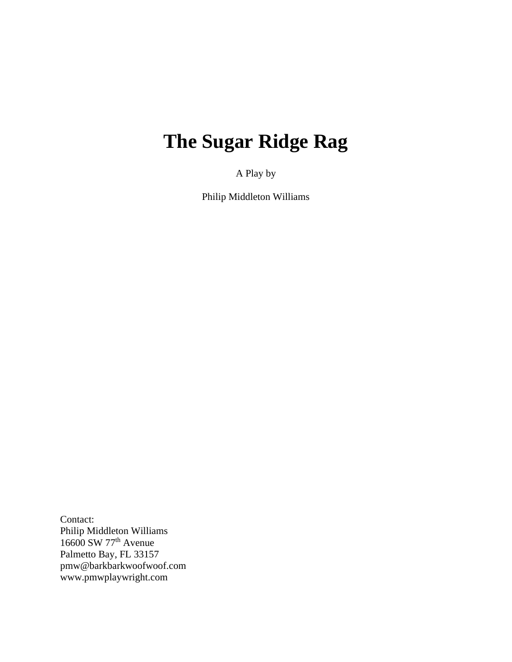# **The Sugar Ridge Rag**

A Play by

Philip Middleton Williams

Contact: Philip Middleton Williams  $16600$  SW  $77<sup>th</sup>$  Avenue Palmetto Bay, FL 33157 pmw@barkbarkwoofwoof.com www.pmwplaywright.com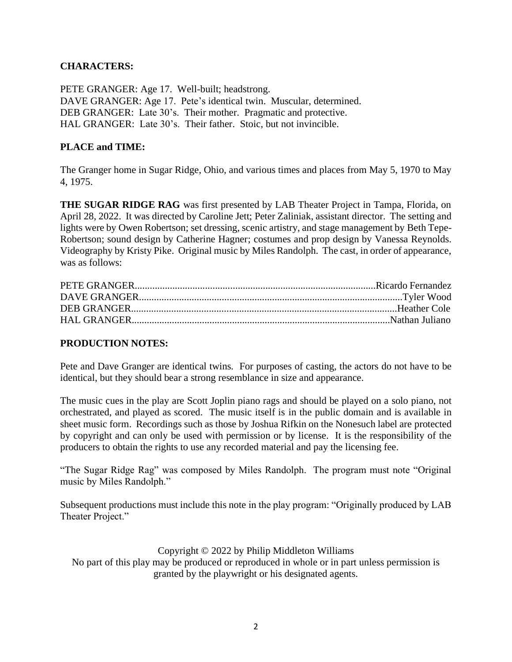# **CHARACTERS:**

PETE GRANGER: Age 17. Well-built; headstrong. DAVE GRANGER: Age 17. Pete's identical twin. Muscular, determined. DEB GRANGER: Late 30's. Their mother. Pragmatic and protective. HAL GRANGER: Late 30's. Their father. Stoic, but not invincible.

## **PLACE and TIME:**

The Granger home in Sugar Ridge, Ohio, and various times and places from May 5, 1970 to May 4, 1975.

**THE SUGAR RIDGE RAG** was first presented by LAB Theater Project in Tampa, Florida, on April 28, 2022. It was directed by Caroline Jett; Peter Zaliniak, assistant director. The setting and lights were by Owen Robertson; set dressing, scenic artistry, and stage management by Beth Tepe-Robertson; sound design by Catherine Hagner; costumes and prop design by Vanessa Reynolds. Videography by Kristy Pike. Original music by Miles Randolph. The cast, in order of appearance, was as follows:

### **PRODUCTION NOTES:**

Pete and Dave Granger are identical twins. For purposes of casting, the actors do not have to be identical, but they should bear a strong resemblance in size and appearance.

The music cues in the play are Scott Joplin piano rags and should be played on a solo piano, not orchestrated, and played as scored. The music itself is in the public domain and is available in sheet music form. Recordings such as those by Joshua Rifkin on the Nonesuch label are protected by copyright and can only be used with permission or by license. It is the responsibility of the producers to obtain the rights to use any recorded material and pay the licensing fee.

"The Sugar Ridge Rag" was composed by Miles Randolph. The program must note "Original music by Miles Randolph."

Subsequent productions must include this note in the play program: "Originally produced by LAB Theater Project."

#### Copyright © 2022 by Philip Middleton Williams

No part of this play may be produced or reproduced in whole or in part unless permission is granted by the playwright or his designated agents.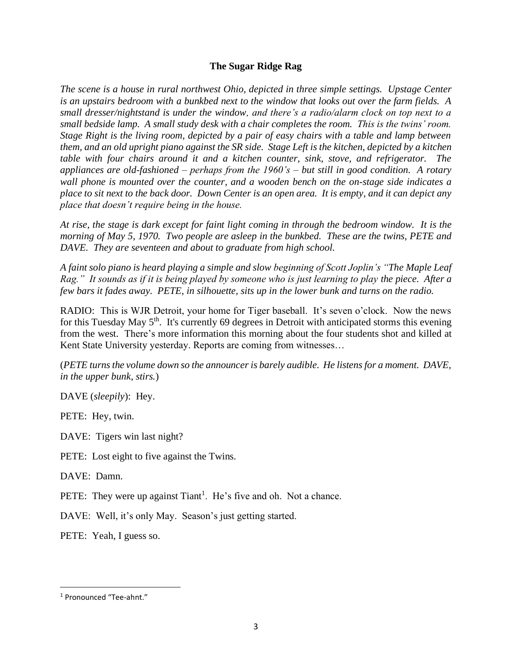### **The Sugar Ridge Rag**

*The scene is a house in rural northwest Ohio, depicted in three simple settings. Upstage Center is an upstairs bedroom with a bunkbed next to the window that looks out over the farm fields. A small dresser/nightstand is under the window, and there's a radio/alarm clock on top next to a small bedside lamp. A small study desk with a chair completes the room. This is the twins' room. Stage Right is the living room, depicted by a pair of easy chairs with a table and lamp between them, and an old upright piano against the SR side. Stage Left is the kitchen, depicted by a kitchen table with four chairs around it and a kitchen counter, sink, stove, and refrigerator. The appliances are old-fashioned – perhaps from the 1960's – but still in good condition. A rotary wall phone is mounted over the counter, and a wooden bench on the on-stage side indicates a place to sit next to the back door. Down Center is an open area. It is empty, and it can depict any place that doesn't require being in the house.*

*At rise, the stage is dark except for faint light coming in through the bedroom window. It is the morning of May 5, 1970. Two people are asleep in the bunkbed. These are the twins, PETE and DAVE. They are seventeen and about to graduate from high school.*

*A faint solo piano is heard playing a simple and slow beginning of Scott Joplin's "The Maple Leaf Rag." It sounds as if it is being played by someone who is just learning to play the piece. After a few bars it fades away. PETE, in silhouette, sits up in the lower bunk and turns on the radio.*

RADIO: This is WJR Detroit, your home for Tiger baseball. It's seven o'clock. Now the news for this Tuesday May  $5<sup>th</sup>$ . It's currently 69 degrees in Detroit with anticipated storms this evening from the west. There's more information this morning about the four students shot and killed at Kent State University yesterday. Reports are coming from witnesses...

(*PETE turns the volume down so the announcer is barely audible. He listens for a moment. DAVE, in the upper bunk, stirs.*)

DAVE (*sleepily*): Hey.

PETE: Hey, twin.

DAVE: Tigers win last night?

PETE: Lost eight to five against the Twins.

DAVE: Damn.

PETE: They were up against Tiant<sup>1</sup>. He's five and oh. Not a chance.

DAVE: Well, it's only May. Season's just getting started.

PETE: Yeah, I guess so.

<sup>1</sup> Pronounced "Tee-ahnt."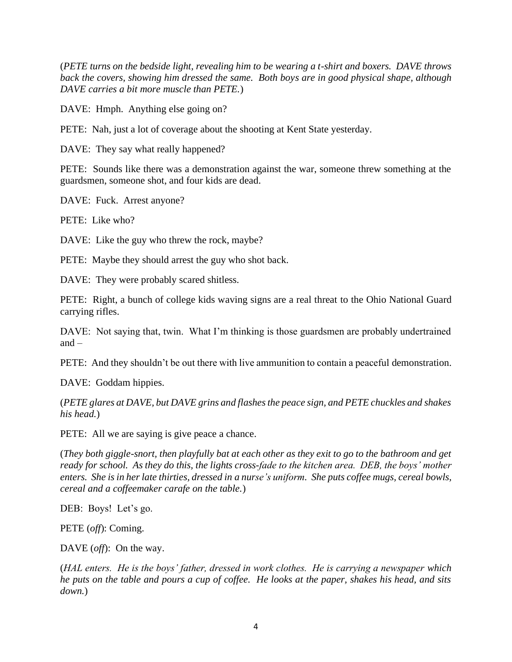(*PETE turns on the bedside light, revealing him to be wearing a t-shirt and boxers. DAVE throws back the covers, showing him dressed the same. Both boys are in good physical shape, although DAVE carries a bit more muscle than PETE.*)

DAVE: Hmph. Anything else going on?

PETE: Nah, just a lot of coverage about the shooting at Kent State yesterday.

DAVE: They say what really happened?

PETE: Sounds like there was a demonstration against the war, someone threw something at the guardsmen, someone shot, and four kids are dead.

DAVE: Fuck. Arrest anyone?

PETE: Like who?

DAVE: Like the guy who threw the rock, maybe?

PETE: Maybe they should arrest the guy who shot back.

DAVE: They were probably scared shitless.

PETE: Right, a bunch of college kids waving signs are a real threat to the Ohio National Guard carrying rifles.

DAVE: Not saying that, twin. What I'm thinking is those guardsmen are probably undertrained and  $-$ 

PETE: And they shouldn't be out there with live ammunition to contain a peaceful demonstration.

DAVE: Goddam hippies.

(*PETE glares at DAVE, but DAVE grins and flashes the peace sign, and PETE chuckles and shakes his head.*)

PETE: All we are saying is give peace a chance.

(*They both giggle-snort, then playfully bat at each other as they exit to go to the bathroom and get ready for school. As they do this, the lights cross-fade to the kitchen area. DEB, the boys' mother enters. She is in her late thirties, dressed in a nurse's uniform. She puts coffee mugs, cereal bowls, cereal and a coffeemaker carafe on the table.*)

DEB: Boys! Let's go.

PETE (*off*): Coming.

DAVE (*off*): On the way.

(*HAL enters. He is the boys' father, dressed in work clothes. He is carrying a newspaper which he puts on the table and pours a cup of coffee. He looks at the paper, shakes his head, and sits down.*)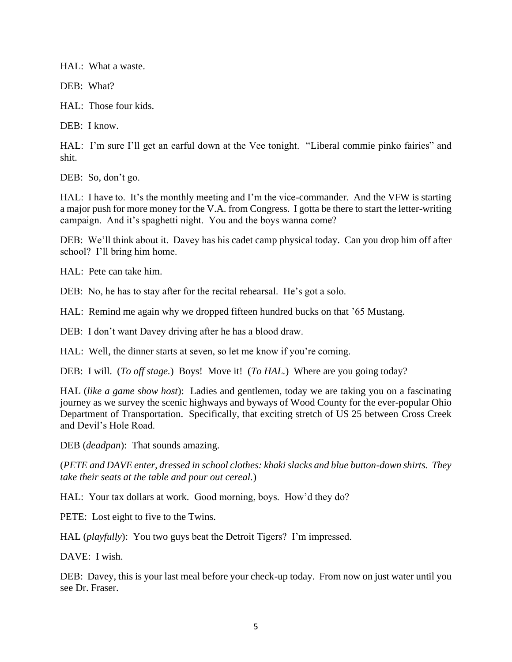HAL: What a waste.

DEB: What?

HAL: Those four kids.

DEB: I know.

HAL: I'm sure I'll get an earful down at the Vee tonight. "Liberal commie pinko fairies" and shit.

DEB: So, don't go.

HAL: I have to. It's the monthly meeting and I'm the vice-commander. And the VFW is starting a major push for more money for the V.A. from Congress. I gotta be there to start the letter-writing campaign. And it's spaghetti night. You and the boys wanna come?

DEB: We'll think about it. Davey has his cadet camp physical today. Can you drop him off after school? I'll bring him home.

HAL: Pete can take him.

DEB: No, he has to stay after for the recital rehearsal. He's got a solo.

HAL: Remind me again why we dropped fifteen hundred bucks on that '65 Mustang.

DEB: I don't want Davey driving after he has a blood draw.

HAL: Well, the dinner starts at seven, so let me know if you're coming.

DEB: I will. (*To off stage.*) Boys! Move it! (*To HAL.*) Where are you going today?

HAL (*like a game show host*): Ladies and gentlemen, today we are taking you on a fascinating journey as we survey the scenic highways and byways of Wood County for the ever-popular Ohio Department of Transportation. Specifically, that exciting stretch of US 25 between Cross Creek and Devil's Hole Road.

DEB (*deadpan*): That sounds amazing.

(*PETE and DAVE enter, dressed in school clothes: khaki slacks and blue button-down shirts. They take their seats at the table and pour out cereal.*)

HAL: Your tax dollars at work. Good morning, boys. How'd they do?

PETE: Lost eight to five to the Twins.

HAL (*playfully*): You two guys beat the Detroit Tigers? I'm impressed.

DAVE: I wish.

DEB: Davey, this is your last meal before your check-up today. From now on just water until you see Dr. Fraser.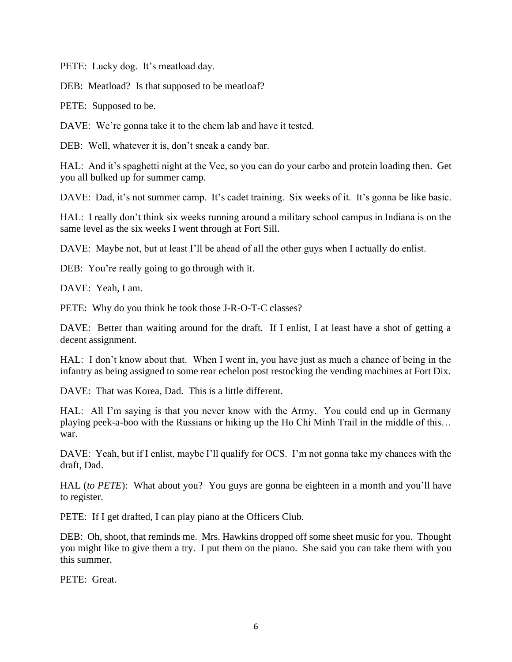PETE: Lucky dog. It's meatload day.

DEB: Meatload? Is that supposed to be meatloaf?

PETE: Supposed to be.

DAVE: We're gonna take it to the chem lab and have it tested.

DEB: Well, whatever it is, don't sneak a candy bar.

HAL: And it's spaghetti night at the Vee, so you can do your carbo and protein loading then. Get you all bulked up for summer camp.

DAVE: Dad, it's not summer camp. It's cadet training. Six weeks of it. It's gonna be like basic.

HAL: I really don't think six weeks running around a military school campus in Indiana is on the same level as the six weeks I went through at Fort Sill.

DAVE: Maybe not, but at least I'll be ahead of all the other guys when I actually do enlist.

DEB: You're really going to go through with it.

DAVE: Yeah, I am.

PETE: Why do you think he took those J-R-O-T-C classes?

DAVE: Better than waiting around for the draft. If I enlist, I at least have a shot of getting a decent assignment.

HAL: I don't know about that. When I went in, you have just as much a chance of being in the infantry as being assigned to some rear echelon post restocking the vending machines at Fort Dix.

DAVE: That was Korea, Dad. This is a little different.

HAL: All I'm saying is that you never know with the Army. You could end up in Germany playing peek-a-boo with the Russians or hiking up the Ho Chi Minh Trail in the middle of this… war.

DAVE: Yeah, but if I enlist, maybe I'll qualify for OCS. I'm not gonna take my chances with the draft, Dad.

HAL (*to PETE*): What about you? You guys are gonna be eighteen in a month and you'll have to register.

PETE: If I get drafted, I can play piano at the Officers Club.

DEB: Oh, shoot, that reminds me. Mrs. Hawkins dropped off some sheet music for you. Thought you might like to give them a try. I put them on the piano. She said you can take them with you this summer.

PETE: Great.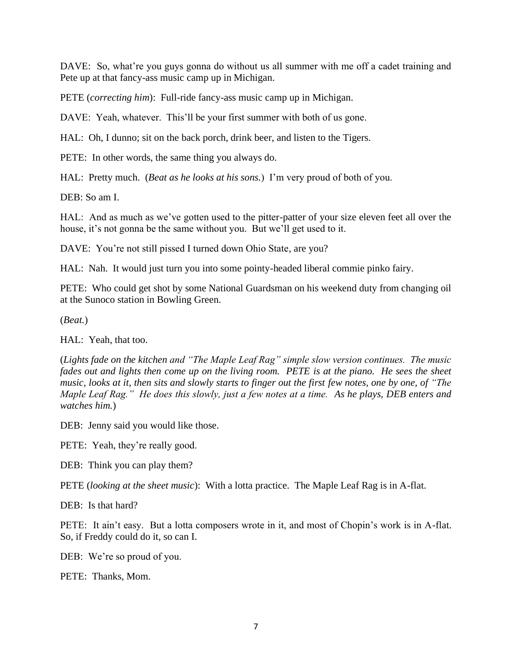DAVE: So, what're you guys gonna do without us all summer with me off a cadet training and Pete up at that fancy-ass music camp up in Michigan.

PETE (*correcting him*): Full-ride fancy-ass music camp up in Michigan.

DAVE: Yeah, whatever. This'll be your first summer with both of us gone.

HAL: Oh, I dunno; sit on the back porch, drink beer, and listen to the Tigers.

PETE: In other words, the same thing you always do.

HAL: Pretty much. (*Beat as he looks at his sons.*) I'm very proud of both of you.

DEB: So am I.

HAL: And as much as we've gotten used to the pitter-patter of your size eleven feet all over the house, it's not gonna be the same without you. But we'll get used to it.

DAVE: You're not still pissed I turned down Ohio State, are you?

HAL: Nah. It would just turn you into some pointy-headed liberal commie pinko fairy.

PETE: Who could get shot by some National Guardsman on his weekend duty from changing oil at the Sunoco station in Bowling Green.

(*Beat.*)

HAL: Yeah, that too.

(*Lights fade on the kitchen and "The Maple Leaf Rag" simple slow version continues. The music*  fades out and lights then come up on the living room. PETE is at the piano. He sees the sheet *music, looks at it, then sits and slowly starts to finger out the first few notes, one by one, of "The Maple Leaf Rag." He does this slowly, just a few notes at a time. As he plays, DEB enters and watches him.*)

DEB: Jenny said you would like those.

PETE: Yeah, they're really good.

DEB: Think you can play them?

PETE (*looking at the sheet music*): With a lotta practice. The Maple Leaf Rag is in A-flat.

DEB: Is that hard?

PETE: It ain't easy. But a lotta composers wrote in it, and most of Chopin's work is in A-flat. So, if Freddy could do it, so can I.

DEB: We're so proud of you.

PETE: Thanks, Mom.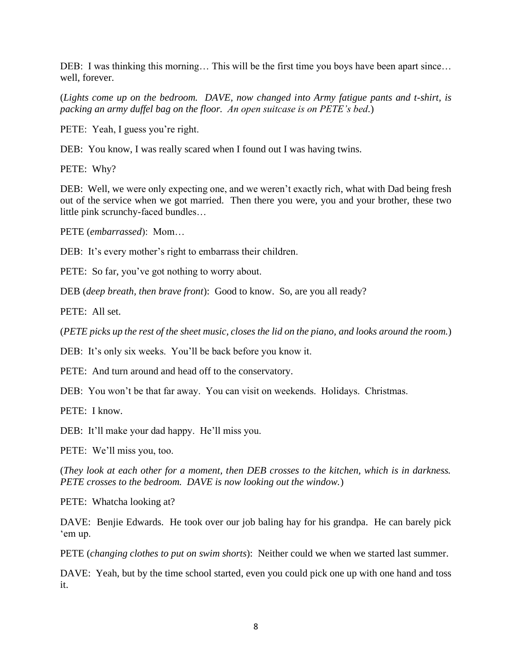DEB: I was thinking this morning... This will be the first time you boys have been apart since... well, forever.

(*Lights come up on the bedroom. DAVE, now changed into Army fatigue pants and t-shirt, is packing an army duffel bag on the floor. An open suitcase is on PETE's bed.*)

PETE: Yeah, I guess you're right.

DEB: You know, I was really scared when I found out I was having twins.

PETE: Why?

DEB: Well, we were only expecting one, and we weren't exactly rich, what with Dad being fresh out of the service when we got married. Then there you were, you and your brother, these two little pink scrunchy-faced bundles…

PETE (*embarrassed*): Mom…

DEB: It's every mother's right to embarrass their children.

PETE: So far, you've got nothing to worry about.

DEB (*deep breath, then brave front*): Good to know. So, are you all ready?

PETE: All set.

(*PETE picks up the rest of the sheet music, closes the lid on the piano, and looks around the room.*)

DEB: It's only six weeks. You'll be back before you know it.

PETE: And turn around and head off to the conservatory.

DEB: You won't be that far away. You can visit on weekends. Holidays. Christmas.

PETE: I know.

DEB: It'll make your dad happy. He'll miss you.

PETE: We'll miss you, too.

(*They look at each other for a moment, then DEB crosses to the kitchen, which is in darkness. PETE crosses to the bedroom. DAVE is now looking out the window.*)

PETE: Whatcha looking at?

DAVE: Benjie Edwards. He took over our job baling hay for his grandpa. He can barely pick 'em up.

PETE (*changing clothes to put on swim shorts*): Neither could we when we started last summer.

DAVE: Yeah, but by the time school started, even you could pick one up with one hand and toss it.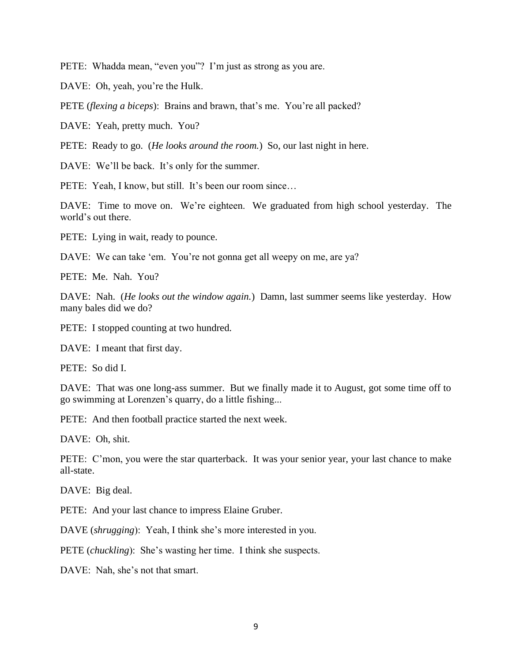PETE: Whadda mean, "even you"? I'm just as strong as you are.

DAVE: Oh, yeah, you're the Hulk.

PETE (*flexing a biceps*): Brains and brawn, that's me. You're all packed?

DAVE: Yeah, pretty much. You?

PETE: Ready to go. (*He looks around the room.*) So, our last night in here.

DAVE: We'll be back. It's only for the summer.

PETE: Yeah, I know, but still. It's been our room since...

DAVE: Time to move on. We're eighteen. We graduated from high school yesterday. The world's out there.

PETE: Lying in wait, ready to pounce.

DAVE: We can take 'em. You're not gonna get all weepy on me, are ya?

PETE: Me. Nah. You?

DAVE: Nah. (*He looks out the window again.*) Damn, last summer seems like yesterday. How many bales did we do?

PETE: I stopped counting at two hundred.

DAVE: I meant that first day.

PETE: So did I.

DAVE: That was one long-ass summer. But we finally made it to August, got some time off to go swimming at Lorenzen's quarry, do a little fishing...

PETE: And then football practice started the next week.

DAVE: Oh, shit.

PETE: C'mon, you were the star quarterback. It was your senior year, your last chance to make all-state.

DAVE: Big deal.

PETE: And your last chance to impress Elaine Gruber.

DAVE (*shrugging*): Yeah, I think she's more interested in you.

PETE (*chuckling*): She's wasting her time. I think she suspects.

DAVE: Nah, she's not that smart.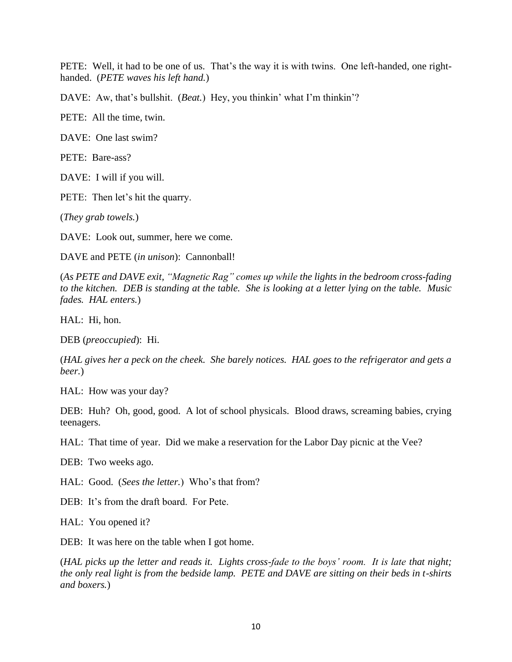PETE: Well, it had to be one of us. That's the way it is with twins. One left-handed, one righthanded. (*PETE waves his left hand.*)

DAVE: Aw, that's bullshit. (*Beat.*) Hey, you thinkin' what I'm thinkin'?

PETE: All the time, twin.

DAVE: One last swim?

PETE: Bare-ass?

DAVE: I will if you will.

PETE: Then let's hit the quarry.

(*They grab towels.*)

DAVE: Look out, summer, here we come.

DAVE and PETE (*in unison*): Cannonball!

(*As PETE and DAVE exit, "Magnetic Rag" comes up while the lights in the bedroom cross-fading to the kitchen. DEB is standing at the table. She is looking at a letter lying on the table. Music fades. HAL enters.*)

HAL: Hi, hon.

DEB (*preoccupied*): Hi.

(*HAL gives her a peck on the cheek. She barely notices. HAL goes to the refrigerator and gets a beer.*)

HAL: How was your day?

DEB: Huh? Oh, good, good. A lot of school physicals. Blood draws, screaming babies, crying teenagers.

HAL: That time of year. Did we make a reservation for the Labor Day picnic at the Vee?

DEB: Two weeks ago.

HAL: Good. (*Sees the letter.*) Who's that from?

DEB: It's from the draft board. For Pete.

HAL: You opened it?

DEB: It was here on the table when I got home.

(*HAL picks up the letter and reads it. Lights cross-fade to the boys' room. It is late that night; the only real light is from the bedside lamp. PETE and DAVE are sitting on their beds in t-shirts and boxers.*)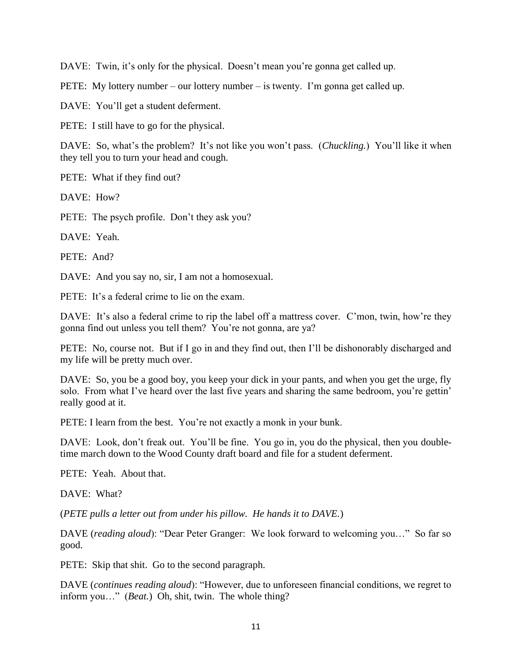DAVE: Twin, it's only for the physical. Doesn't mean you're gonna get called up.

PETE: My lottery number – our lottery number – is twenty. I'm gonna get called up.

DAVE: You'll get a student deferment.

PETE: I still have to go for the physical.

DAVE: So, what's the problem? It's not like you won't pass. (*Chuckling.*) You'll like it when they tell you to turn your head and cough.

PETE: What if they find out?

 $DAVF: How?$ 

PETE: The psych profile. Don't they ask you?

DAVE: Yeah.

PETE: And?

DAVE: And you say no, sir, I am not a homosexual.

PETE: It's a federal crime to lie on the exam.

DAVE: It's also a federal crime to rip the label off a mattress cover. C'mon, twin, how're they gonna find out unless you tell them? You're not gonna, are ya?

PETE: No, course not. But if I go in and they find out, then I'll be dishonorably discharged and my life will be pretty much over.

DAVE: So, you be a good boy, you keep your dick in your pants, and when you get the urge, fly solo. From what I've heard over the last five years and sharing the same bedroom, you're gettin' really good at it.

PETE: I learn from the best. You're not exactly a monk in your bunk.

DAVE: Look, don't freak out. You'll be fine. You go in, you do the physical, then you doubletime march down to the Wood County draft board and file for a student deferment.

PETE: Yeah. About that.

DAVE: What?

(*PETE pulls a letter out from under his pillow. He hands it to DAVE.*)

DAVE (*reading aloud*): "Dear Peter Granger: We look forward to welcoming you…" So far so good.

PETE: Skip that shit. Go to the second paragraph.

DAVE (*continues reading aloud*): "However, due to unforeseen financial conditions, we regret to inform you…" (*Beat.*) Oh, shit, twin. The whole thing?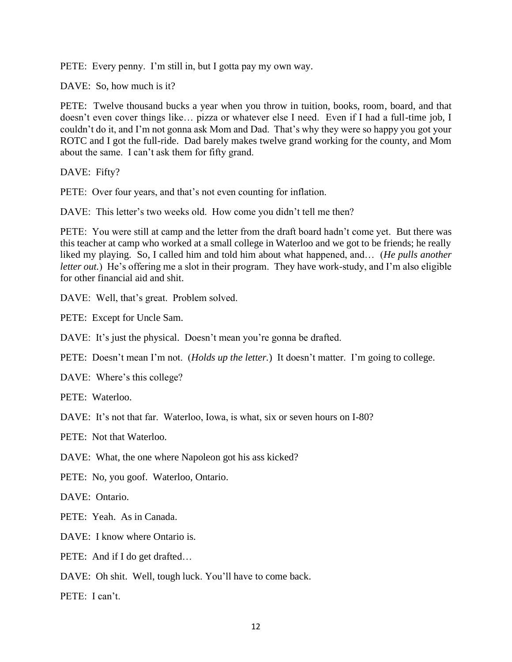PETE: Every penny. I'm still in, but I gotta pay my own way.

DAVE: So, how much is it?

PETE: Twelve thousand bucks a year when you throw in tuition, books, room, board, and that doesn't even cover things like… pizza or whatever else I need. Even if I had a full-time job, I couldn't do it, and I'm not gonna ask Mom and Dad. That's why they were so happy you got your ROTC and I got the full-ride. Dad barely makes twelve grand working for the county, and Mom about the same. I can't ask them for fifty grand.

DAVE: Fifty?

PETE: Over four years, and that's not even counting for inflation.

DAVE: This letter's two weeks old. How come you didn't tell me then?

PETE: You were still at camp and the letter from the draft board hadn't come yet. But there was this teacher at camp who worked at a small college in Waterloo and we got to be friends; he really liked my playing. So, I called him and told him about what happened, and… (*He pulls another letter out.*) He's offering me a slot in their program. They have work-study, and I'm also eligible for other financial aid and shit.

DAVE: Well, that's great. Problem solved.

PETE: Except for Uncle Sam.

DAVE: It's just the physical. Doesn't mean you're gonna be drafted.

PETE: Doesn't mean I'm not. (*Holds up the letter.*) It doesn't matter. I'm going to college.

DAVE: Where's this college?

PETE: Waterloo.

DAVE: It's not that far. Waterloo, Iowa, is what, six or seven hours on I-80?

PETE: Not that Waterloo.

DAVE: What, the one where Napoleon got his ass kicked?

PETE: No, you goof. Waterloo, Ontario.

DAVE: Ontario.

PETE: Yeah. As in Canada.

DAVE: I know where Ontario is.

PETE: And if I do get drafted...

DAVE: Oh shit. Well, tough luck. You'll have to come back.

PETE: I can't.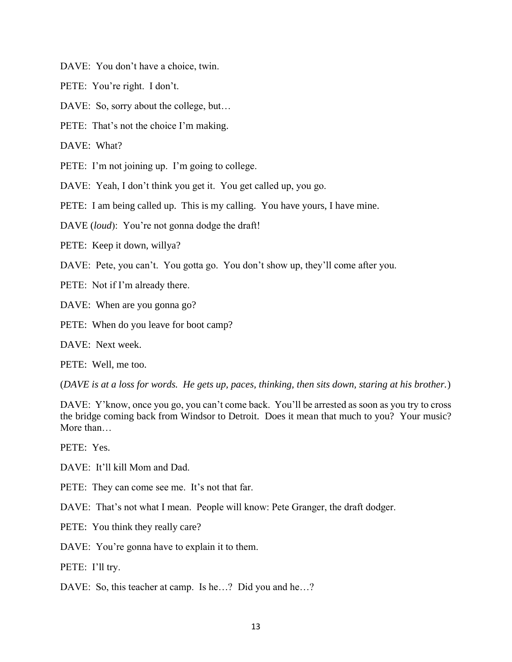DAVE: You don't have a choice, twin.

PETE: You're right. I don't.

DAVE: So, sorry about the college, but...

PETE: That's not the choice I'm making.

DAVE: What?

PETE: I'm not joining up. I'm going to college.

DAVE: Yeah, I don't think you get it. You get called up, you go.

PETE: I am being called up. This is my calling. You have yours, I have mine.

DAVE (*loud*): You're not gonna dodge the draft!

PETE: Keep it down, willya?

DAVE: Pete, you can't. You gotta go. You don't show up, they'll come after you.

PETE: Not if I'm already there.

DAVE: When are you gonna go?

PETE: When do you leave for boot camp?

DAVE: Next week.

PETE: Well, me too.

(*DAVE is at a loss for words. He gets up, paces, thinking, then sits down, staring at his brother.*)

DAVE: Y'know, once you go, you can't come back. You'll be arrested as soon as you try to cross the bridge coming back from Windsor to Detroit. Does it mean that much to you? Your music? More than…

PETE: Yes.

DAVE: It'll kill Mom and Dad.

PETE: They can come see me. It's not that far.

DAVE: That's not what I mean. People will know: Pete Granger, the draft dodger.

PETE: You think they really care?

DAVE: You're gonna have to explain it to them.

PETE: I'll try.

DAVE: So, this teacher at camp. Is he...? Did you and he...?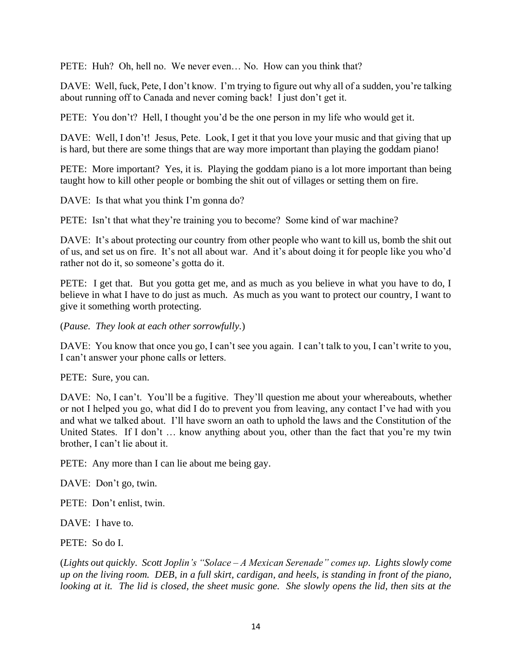PETE: Huh? Oh, hell no. We never even... No. How can you think that?

DAVE: Well, fuck, Pete, I don't know. I'm trying to figure out why all of a sudden, you're talking about running off to Canada and never coming back! I just don't get it.

PETE: You don't? Hell, I thought you'd be the one person in my life who would get it.

DAVE: Well, I don't! Jesus, Pete. Look, I get it that you love your music and that giving that up is hard, but there are some things that are way more important than playing the goddam piano!

PETE: More important? Yes, it is. Playing the goddam piano is a lot more important than being taught how to kill other people or bombing the shit out of villages or setting them on fire.

DAVE: Is that what you think I'm gonna do?

PETE: Isn't that what they're training you to become? Some kind of war machine?

DAVE: It's about protecting our country from other people who want to kill us, bomb the shit out of us, and set us on fire. It's not all about war. And it's about doing it for people like you who'd rather not do it, so someone's gotta do it.

PETE: I get that. But you gotta get me, and as much as you believe in what you have to do, I believe in what I have to do just as much. As much as you want to protect our country, I want to give it something worth protecting.

(*Pause. They look at each other sorrowfully.*)

DAVE: You know that once you go, I can't see you again. I can't talk to you, I can't write to you, I can't answer your phone calls or letters.

PETE: Sure, you can.

DAVE: No, I can't. You'll be a fugitive. They'll question me about your whereabouts, whether or not I helped you go, what did I do to prevent you from leaving, any contact I've had with you and what we talked about. I'll have sworn an oath to uphold the laws and the Constitution of the United States. If I don't … know anything about you, other than the fact that you're my twin brother, I can't lie about it.

PETE: Any more than I can lie about me being gay.

DAVE: Don't go, twin.

PETE: Don't enlist, twin.

DAVE: I have to.

PETE: So do I.

(*Lights out quickly. Scott Joplin's "Solace – A Mexican Serenade" comes up. Lights slowly come up on the living room. DEB, in a full skirt, cardigan, and heels, is standing in front of the piano, looking at it. The lid is closed, the sheet music gone. She slowly opens the lid, then sits at the*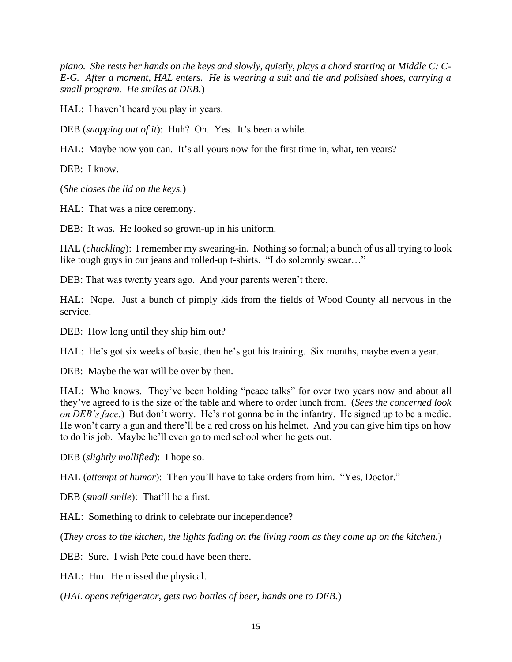*piano. She rests her hands on the keys and slowly, quietly, plays a chord starting at Middle C: C-E-G. After a moment, HAL enters. He is wearing a suit and tie and polished shoes, carrying a small program. He smiles at DEB.*)

HAL: I haven't heard you play in years.

DEB (*snapping out of it*): Huh? Oh. Yes. It's been a while.

HAL: Maybe now you can. It's all yours now for the first time in, what, ten years?

DEB: I know.

(*She closes the lid on the keys.*)

HAL: That was a nice ceremony.

DEB: It was. He looked so grown-up in his uniform.

HAL (*chuckling*): I remember my swearing-in. Nothing so formal; a bunch of us all trying to look like tough guys in our jeans and rolled-up t-shirts. "I do solemnly swear…"

DEB: That was twenty years ago. And your parents weren't there.

HAL: Nope. Just a bunch of pimply kids from the fields of Wood County all nervous in the service.

DEB: How long until they ship him out?

HAL: He's got six weeks of basic, then he's got his training. Six months, maybe even a year.

DEB: Maybe the war will be over by then.

HAL: Who knows. They've been holding "peace talks" for over two years now and about all they've agreed to is the size of the table and where to order lunch from. (*Sees the concerned look on DEB's face.*) But don't worry. He's not gonna be in the infantry. He signed up to be a medic. He won't carry a gun and there'll be a red cross on his helmet. And you can give him tips on how to do his job. Maybe he'll even go to med school when he gets out.

DEB (*slightly mollified*): I hope so.

HAL (*attempt at humor*): Then you'll have to take orders from him. "Yes, Doctor."

DEB (*small smile*): That'll be a first.

HAL: Something to drink to celebrate our independence?

(*They cross to the kitchen, the lights fading on the living room as they come up on the kitchen.*)

DEB: Sure. I wish Pete could have been there.

HAL: Hm. He missed the physical.

(*HAL opens refrigerator, gets two bottles of beer, hands one to DEB.*)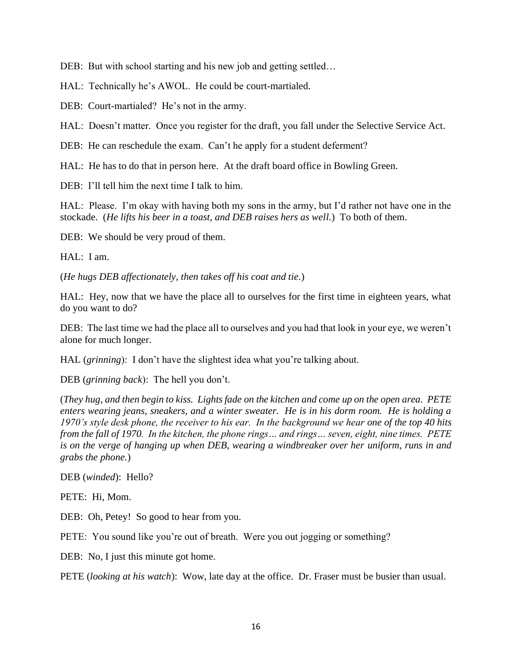DEB: But with school starting and his new job and getting settled...

HAL: Technically he's AWOL. He could be court-martialed.

DEB: Court-martialed? He's not in the army.

HAL: Doesn't matter. Once you register for the draft, you fall under the Selective Service Act.

DEB: He can reschedule the exam. Can't he apply for a student deferment?

HAL: He has to do that in person here. At the draft board office in Bowling Green.

DEB: I'll tell him the next time I talk to him.

HAL: Please. I'm okay with having both my sons in the army, but I'd rather not have one in the stockade. (*He lifts his beer in a toast, and DEB raises hers as well.*) To both of them.

DEB: We should be very proud of them.

HAL: I am.

(*He hugs DEB affectionately, then takes off his coat and tie.*)

HAL: Hey, now that we have the place all to ourselves for the first time in eighteen years, what do you want to do?

DEB: The last time we had the place all to ourselves and you had that look in your eye, we weren't alone for much longer.

HAL (*grinning*): I don't have the slightest idea what you're talking about.

DEB (*grinning back*): The hell you don't.

(*They hug, and then begin to kiss. Lights fade on the kitchen and come up on the open area. PETE enters wearing jeans, sneakers, and a winter sweater. He is in his dorm room. He is holding a 1970's style desk phone, the receiver to his ear. In the background we hear one of the top 40 hits from the fall of 1970. In the kitchen, the phone rings… and rings… seven, eight, nine times. PETE is on the verge of hanging up when DEB, wearing a windbreaker over her uniform, runs in and grabs the phone.*)

DEB (*winded*): Hello?

PETE: Hi, Mom.

DEB: Oh, Petey! So good to hear from you.

PETE: You sound like you're out of breath. Were you out jogging or something?

DEB: No, I just this minute got home.

PETE (*looking at his watch*): Wow, late day at the office. Dr. Fraser must be busier than usual.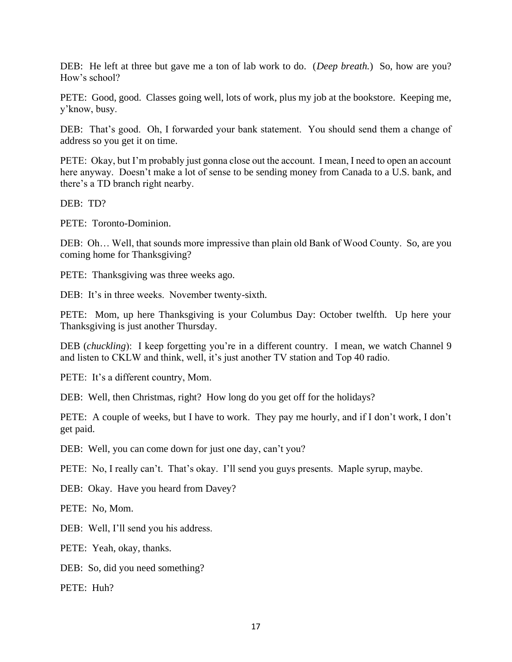DEB: He left at three but gave me a ton of lab work to do. (*Deep breath.*) So, how are you? How's school?

PETE: Good, good. Classes going well, lots of work, plus my job at the bookstore. Keeping me, y'know, busy.

DEB: That's good. Oh, I forwarded your bank statement. You should send them a change of address so you get it on time.

PETE: Okay, but I'm probably just gonna close out the account. I mean, I need to open an account here anyway. Doesn't make a lot of sense to be sending money from Canada to a U.S. bank, and there's a TD branch right nearby.

DEB: TD?

PETE: Toronto-Dominion.

DEB: Oh… Well, that sounds more impressive than plain old Bank of Wood County. So, are you coming home for Thanksgiving?

PETE: Thanksgiving was three weeks ago.

DEB: It's in three weeks. November twenty-sixth.

PETE: Mom, up here Thanksgiving is your Columbus Day: October twelfth. Up here your Thanksgiving is just another Thursday.

DEB (*chuckling*): I keep forgetting you're in a different country. I mean, we watch Channel 9 and listen to CKLW and think, well, it's just another TV station and Top 40 radio.

PETE: It's a different country, Mom.

DEB: Well, then Christmas, right? How long do you get off for the holidays?

PETE: A couple of weeks, but I have to work. They pay me hourly, and if I don't work, I don't get paid.

DEB: Well, you can come down for just one day, can't you?

PETE: No, I really can't. That's okay. I'll send you guys presents. Maple syrup, maybe.

DEB: Okay. Have you heard from Davey?

PETE: No, Mom.

DEB: Well, I'll send you his address.

PETE: Yeah, okay, thanks.

DEB: So, did you need something?

PETE: Huh?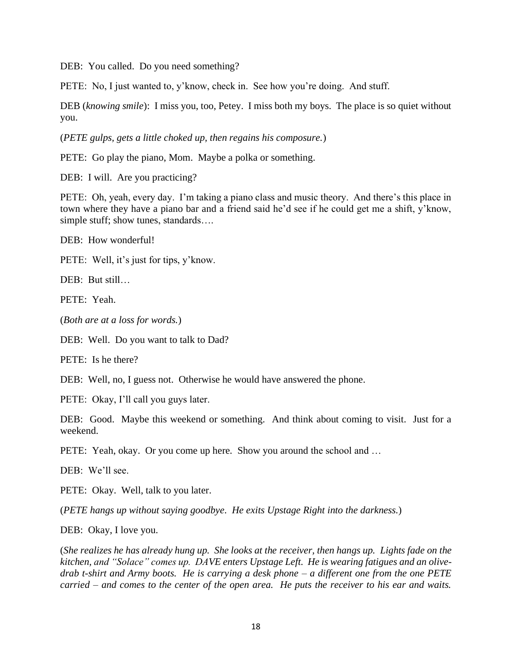DEB: You called. Do you need something?

PETE: No, I just wanted to, y'know, check in. See how you're doing. And stuff.

DEB (*knowing smile*): I miss you, too, Petey. I miss both my boys. The place is so quiet without you.

(*PETE gulps, gets a little choked up, then regains his composure.*)

PETE: Go play the piano, Mom. Maybe a polka or something.

DEB: I will. Are you practicing?

PETE: Oh, yeah, every day. I'm taking a piano class and music theory. And there's this place in town where they have a piano bar and a friend said he'd see if he could get me a shift, y'know, simple stuff; show tunes, standards....

DEB: How wonderful!

PETE: Well, it's just for tips, y'know.

DEB: But still…

PETE: Yeah.

(*Both are at a loss for words.*)

DEB: Well. Do you want to talk to Dad?

PETE: Is he there?

DEB: Well, no, I guess not. Otherwise he would have answered the phone.

PETE: Okay, I'll call you guys later.

DEB: Good. Maybe this weekend or something. And think about coming to visit. Just for a weekend.

PETE: Yeah, okay. Or you come up here. Show you around the school and ...

DEB: We'll see.

PETE: Okay. Well, talk to you later.

(*PETE hangs up without saying goodbye. He exits Upstage Right into the darkness.*)

DEB: Okay, I love you.

(*She realizes he has already hung up. She looks at the receiver, then hangs up. Lights fade on the kitchen, and "Solace" comes up. DAVE enters Upstage Left. He is wearing fatigues and an olivedrab t-shirt and Army boots. He is carrying a desk phone – a different one from the one PETE carried – and comes to the center of the open area. He puts the receiver to his ear and waits.*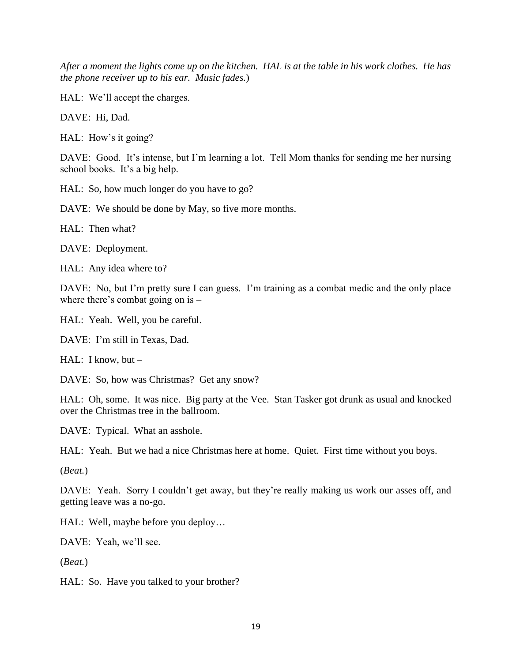*After a moment the lights come up on the kitchen. HAL is at the table in his work clothes. He has the phone receiver up to his ear. Music fades.*)

HAL: We'll accept the charges.

DAVE: Hi, Dad.

HAL: How's it going?

DAVE: Good. It's intense, but I'm learning a lot. Tell Mom thanks for sending me her nursing school books. It's a big help.

HAL: So, how much longer do you have to go?

DAVE: We should be done by May, so five more months.

HAL: Then what?

DAVE: Deployment.

HAL: Any idea where to?

DAVE: No, but I'm pretty sure I can guess. I'm training as a combat medic and the only place where there's combat going on is –

HAL: Yeah. Well, you be careful.

DAVE: I'm still in Texas, Dad.

HAL: I know, but –

DAVE: So, how was Christmas? Get any snow?

HAL: Oh, some. It was nice. Big party at the Vee. Stan Tasker got drunk as usual and knocked over the Christmas tree in the ballroom.

DAVE: Typical. What an asshole.

HAL: Yeah. But we had a nice Christmas here at home. Quiet. First time without you boys.

(*Beat.*)

DAVE: Yeah. Sorry I couldn't get away, but they're really making us work our asses off, and getting leave was a no-go.

HAL: Well, maybe before you deploy…

DAVE: Yeah, we'll see.

(*Beat.*)

HAL: So. Have you talked to your brother?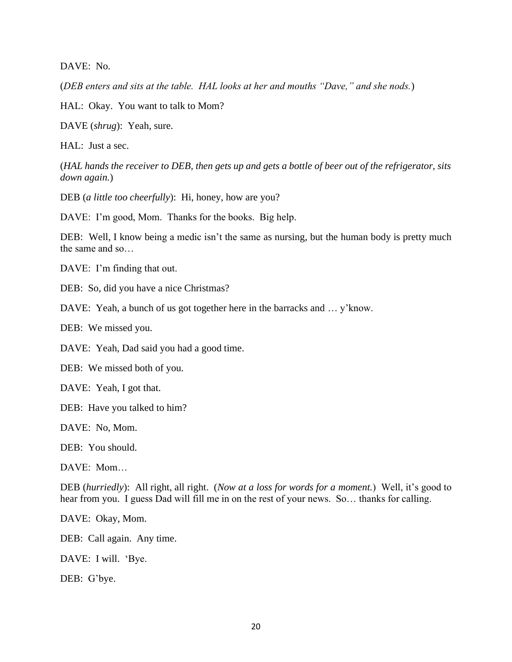DAVE: No.

(*DEB enters and sits at the table. HAL looks at her and mouths "Dave," and she nods.*)

HAL: Okay. You want to talk to Mom?

DAVE (*shrug*): Yeah, sure.

HAL: Just a sec.

(*HAL hands the receiver to DEB, then gets up and gets a bottle of beer out of the refrigerator, sits down again.*)

DEB (*a little too cheerfully*): Hi, honey, how are you?

DAVE: I'm good, Mom. Thanks for the books. Big help.

DEB: Well, I know being a medic isn't the same as nursing, but the human body is pretty much the same and so…

DAVE: I'm finding that out.

DEB: So, did you have a nice Christmas?

DAVE: Yeah, a bunch of us got together here in the barracks and ... y'know.

DEB: We missed you.

DAVE: Yeah, Dad said you had a good time.

DEB: We missed both of you.

DAVE: Yeah, I got that.

DEB: Have you talked to him?

DAVE: No, Mom.

DEB: You should.

DAVE: Mom…

DEB (*hurriedly*): All right, all right. (*Now at a loss for words for a moment.*) Well, it's good to hear from you. I guess Dad will fill me in on the rest of your news. So… thanks for calling.

DAVE: Okay, Mom.

DEB: Call again. Any time.

DAVE: I will. 'Bye.

DEB: G'bye.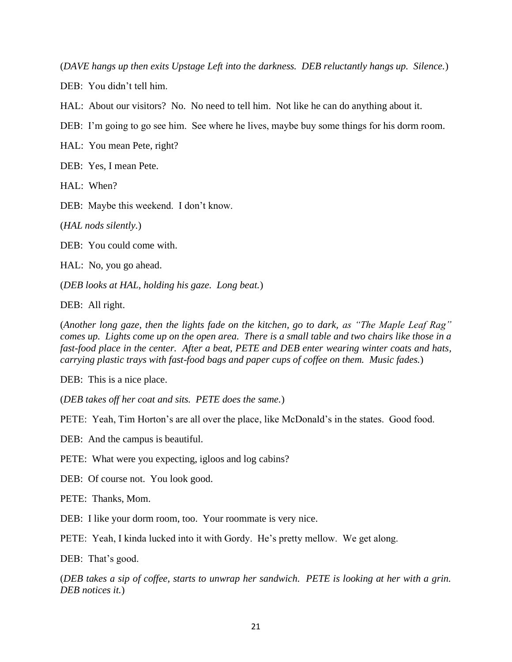(*DAVE hangs up then exits Upstage Left into the darkness. DEB reluctantly hangs up. Silence.*)

DEB: You didn't tell him.

HAL: About our visitors? No. No need to tell him. Not like he can do anything about it.

DEB: I'm going to go see him. See where he lives, maybe buy some things for his dorm room.

HAL: You mean Pete, right?

DEB: Yes, I mean Pete.

HAL: When?

DEB: Maybe this weekend. I don't know.

(*HAL nods silently.*)

DEB: You could come with.

HAL: No, you go ahead.

(*DEB looks at HAL, holding his gaze. Long beat.*)

DEB: All right.

(*Another long gaze, then the lights fade on the kitchen, go to dark, as "The Maple Leaf Rag" comes up. Lights come up on the open area. There is a small table and two chairs like those in a fast-food place in the center. After a beat, PETE and DEB enter wearing winter coats and hats, carrying plastic trays with fast-food bags and paper cups of coffee on them. Music fades.*)

DEB: This is a nice place.

(*DEB takes off her coat and sits. PETE does the same.*)

PETE: Yeah, Tim Horton's are all over the place, like McDonald's in the states. Good food.

DEB: And the campus is beautiful.

PETE: What were you expecting, igloos and log cabins?

DEB: Of course not. You look good.

PETE: Thanks, Mom.

DEB: I like your dorm room, too. Your roommate is very nice.

PETE: Yeah, I kinda lucked into it with Gordy. He's pretty mellow. We get along.

DEB: That's good.

(*DEB takes a sip of coffee, starts to unwrap her sandwich. PETE is looking at her with a grin. DEB notices it.*)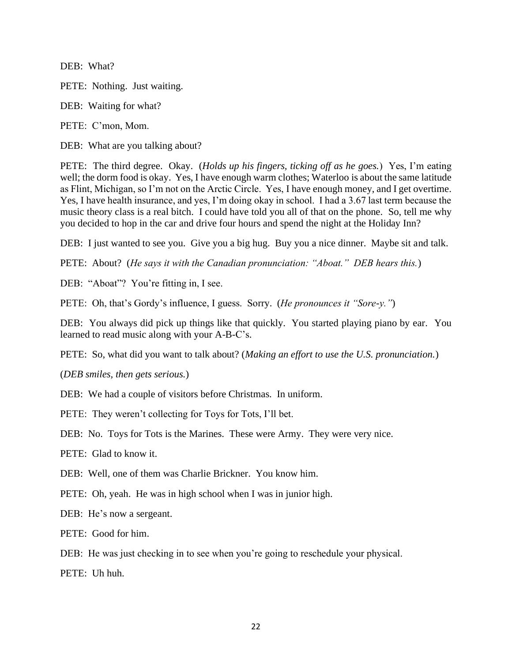DEB: What?

PETE: Nothing. Just waiting.

DEB: Waiting for what?

PETE: C'mon, Mom.

DEB: What are you talking about?

PETE: The third degree. Okay. (*Holds up his fingers, ticking off as he goes.*) Yes, I'm eating well; the dorm food is okay. Yes, I have enough warm clothes; Waterloo is about the same latitude as Flint, Michigan, so I'm not on the Arctic Circle. Yes, I have enough money, and I get overtime. Yes, I have health insurance, and yes, I'm doing okay in school. I had a 3.67 last term because the music theory class is a real bitch. I could have told you all of that on the phone. So, tell me why you decided to hop in the car and drive four hours and spend the night at the Holiday Inn?

DEB: I just wanted to see you. Give you a big hug. Buy you a nice dinner. Maybe sit and talk.

PETE: About? (*He says it with the Canadian pronunciation: "Aboat." DEB hears this.*)

DEB: "Aboat"? You're fitting in, I see.

PETE: Oh, that's Gordy's influence, I guess. Sorry. (*He pronounces it "Sore-y."*)

DEB: You always did pick up things like that quickly. You started playing piano by ear. You learned to read music along with your A-B-C's.

PETE: So, what did you want to talk about? (*Making an effort to use the U.S. pronunciation.*)

(*DEB smiles, then gets serious.*)

DEB: We had a couple of visitors before Christmas. In uniform.

PETE: They weren't collecting for Toys for Tots, I'll bet.

DEB: No. Toys for Tots is the Marines. These were Army. They were very nice.

PETE: Glad to know it.

DEB: Well, one of them was Charlie Brickner. You know him.

PETE: Oh, yeah. He was in high school when I was in junior high.

DEB: He's now a sergeant.

PETE: Good for him.

DEB: He was just checking in to see when you're going to reschedule your physical.

PETE: Uh huh.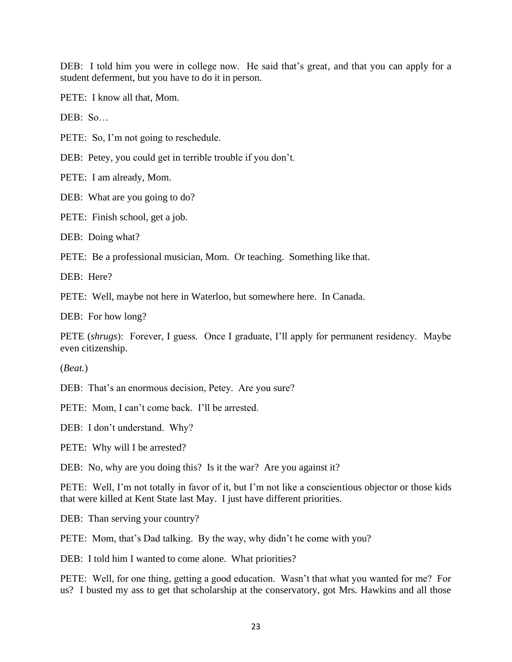DEB: I told him you were in college now. He said that's great, and that you can apply for a student deferment, but you have to do it in person.

PETE: I know all that, Mom.

 $DER: So$ 

PETE: So, I'm not going to reschedule.

DEB: Petey, you could get in terrible trouble if you don't.

PETE: I am already, Mom.

DEB: What are you going to do?

PETE: Finish school, get a job.

DEB: Doing what?

PETE: Be a professional musician, Mom. Or teaching. Something like that.

DEB: Here?

PETE: Well, maybe not here in Waterloo, but somewhere here. In Canada.

DEB: For how long?

PETE (*shrugs*): Forever, I guess. Once I graduate, I'll apply for permanent residency. Maybe even citizenship.

(*Beat.*)

DEB: That's an enormous decision, Petey. Are you sure?

PETE: Mom, I can't come back. I'll be arrested.

DEB: I don't understand. Why?

PETE: Why will I be arrested?

DEB: No, why are you doing this? Is it the war? Are you against it?

PETE: Well, I'm not totally in favor of it, but I'm not like a conscientious objector or those kids that were killed at Kent State last May. I just have different priorities.

DEB: Than serving your country?

PETE: Mom, that's Dad talking. By the way, why didn't he come with you?

DEB: I told him I wanted to come alone. What priorities?

PETE: Well, for one thing, getting a good education. Wasn't that what you wanted for me? For us? I busted my ass to get that scholarship at the conservatory, got Mrs. Hawkins and all those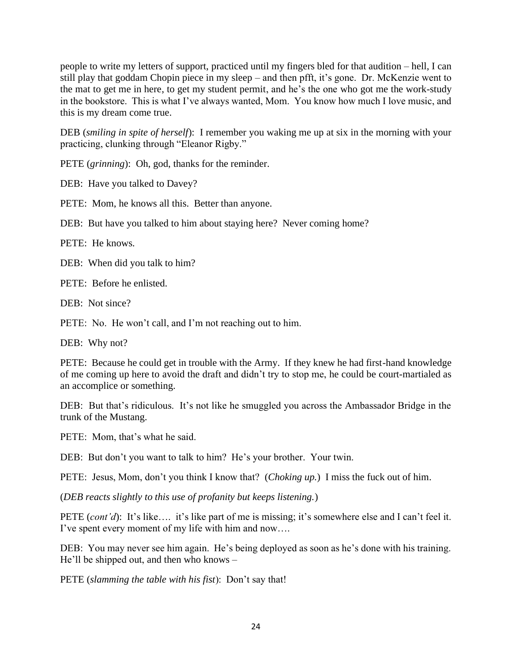people to write my letters of support, practiced until my fingers bled for that audition – hell, I can still play that goddam Chopin piece in my sleep – and then pfft, it's gone. Dr. McKenzie went to the mat to get me in here, to get my student permit, and he's the one who got me the work-study in the bookstore. This is what I've always wanted, Mom. You know how much I love music, and this is my dream come true.

DEB (*smiling in spite of herself*): I remember you waking me up at six in the morning with your practicing, clunking through "Eleanor Rigby."

PETE (*grinning*): Oh, god, thanks for the reminder.

DEB: Have you talked to Davey?

PETE: Mom, he knows all this. Better than anyone.

DEB: But have you talked to him about staying here? Never coming home?

PETE: He knows.

DEB: When did you talk to him?

PETE: Before he enlisted.

DEB: Not since?

PETE: No. He won't call, and I'm not reaching out to him.

DEB: Why not?

PETE: Because he could get in trouble with the Army. If they knew he had first-hand knowledge of me coming up here to avoid the draft and didn't try to stop me, he could be court-martialed as an accomplice or something.

DEB: But that's ridiculous. It's not like he smuggled you across the Ambassador Bridge in the trunk of the Mustang.

PETE: Mom, that's what he said.

DEB: But don't you want to talk to him? He's your brother. Your twin.

PETE: Jesus, Mom, don't you think I know that? (*Choking up.*) I miss the fuck out of him.

(*DEB reacts slightly to this use of profanity but keeps listening.*)

PETE (*cont'd*): It's like…. it's like part of me is missing; it's somewhere else and I can't feel it. I've spent every moment of my life with him and now….

DEB: You may never see him again. He's being deployed as soon as he's done with his training. He'll be shipped out, and then who knows –

PETE (*slamming the table with his fist*): Don't say that!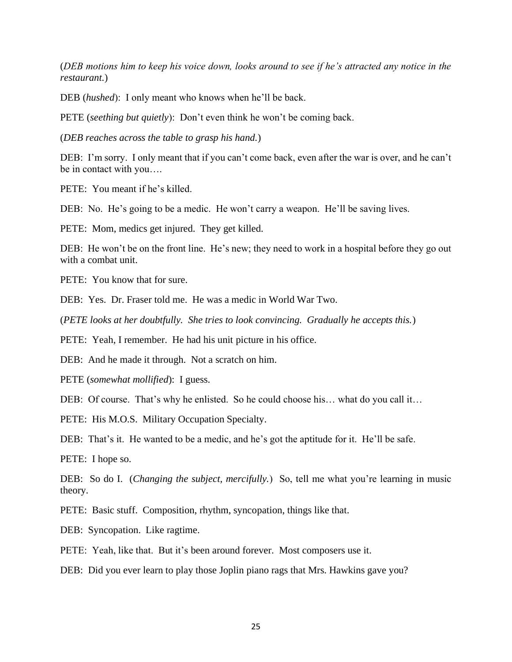(*DEB motions him to keep his voice down, looks around to see if he's attracted any notice in the restaurant.*)

DEB (*hushed*): I only meant who knows when he'll be back.

PETE (*seething but quietly*): Don't even think he won't be coming back.

(*DEB reaches across the table to grasp his hand.*)

DEB: I'm sorry. I only meant that if you can't come back, even after the war is over, and he can't be in contact with you….

PETE: You meant if he's killed.

DEB: No. He's going to be a medic. He won't carry a weapon. He'll be saving lives.

PETE: Mom, medics get injured. They get killed.

DEB: He won't be on the front line. He's new; they need to work in a hospital before they go out with a combat unit.

PETE: You know that for sure.

DEB: Yes. Dr. Fraser told me. He was a medic in World War Two.

(*PETE looks at her doubtfully. She tries to look convincing. Gradually he accepts this.*)

PETE: Yeah, I remember. He had his unit picture in his office.

DEB: And he made it through. Not a scratch on him.

PETE (*somewhat mollified*): I guess.

DEB: Of course. That's why he enlisted. So he could choose his... what do you call it...

PETE: His M.O.S. Military Occupation Specialty.

DEB: That's it. He wanted to be a medic, and he's got the aptitude for it. He'll be safe.

PETE: I hope so.

DEB: So do I. (*Changing the subject, mercifully*.) So, tell me what you're learning in music theory.

PETE: Basic stuff. Composition, rhythm, syncopation, things like that.

DEB: Syncopation. Like ragtime.

PETE: Yeah, like that. But it's been around forever. Most composers use it.

DEB: Did you ever learn to play those Joplin piano rags that Mrs. Hawkins gave you?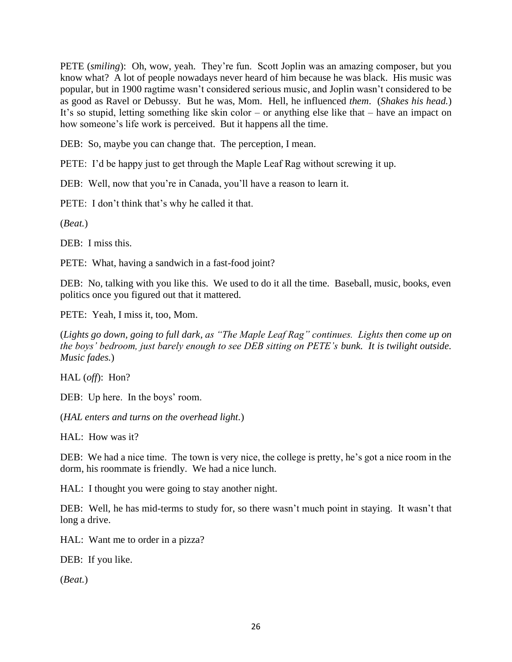PETE (*smiling*): Oh, wow, yeah. They're fun. Scott Joplin was an amazing composer, but you know what? A lot of people nowadays never heard of him because he was black. His music was popular, but in 1900 ragtime wasn't considered serious music, and Joplin wasn't considered to be as good as Ravel or Debussy. But he was, Mom. Hell, he influenced *them*. (*Shakes his head.*) It's so stupid, letting something like skin color – or anything else like that – have an impact on how someone's life work is perceived. But it happens all the time.

DEB: So, maybe you can change that. The perception, I mean.

PETE: I'd be happy just to get through the Maple Leaf Rag without screwing it up.

DEB: Well, now that you're in Canada, you'll have a reason to learn it.

PETE: I don't think that's why he called it that.

(*Beat.*)

DEB: I miss this.

PETE: What, having a sandwich in a fast-food joint?

DEB: No, talking with you like this. We used to do it all the time. Baseball, music, books, even politics once you figured out that it mattered.

PETE: Yeah, I miss it, too, Mom.

(*Lights go down, going to full dark, as "The Maple Leaf Rag" continues. Lights then come up on the boys' bedroom, just barely enough to see DEB sitting on PETE's bunk. It is twilight outside. Music fades.*)

HAL (*off*): Hon?

DEB: Up here. In the boys' room.

(*HAL enters and turns on the overhead light.*)

HAL: How was it?

DEB: We had a nice time. The town is very nice, the college is pretty, he's got a nice room in the dorm, his roommate is friendly. We had a nice lunch.

HAL: I thought you were going to stay another night.

DEB: Well, he has mid-terms to study for, so there wasn't much point in staying. It wasn't that long a drive.

HAL: Want me to order in a pizza?

DEB: If you like.

(*Beat.*)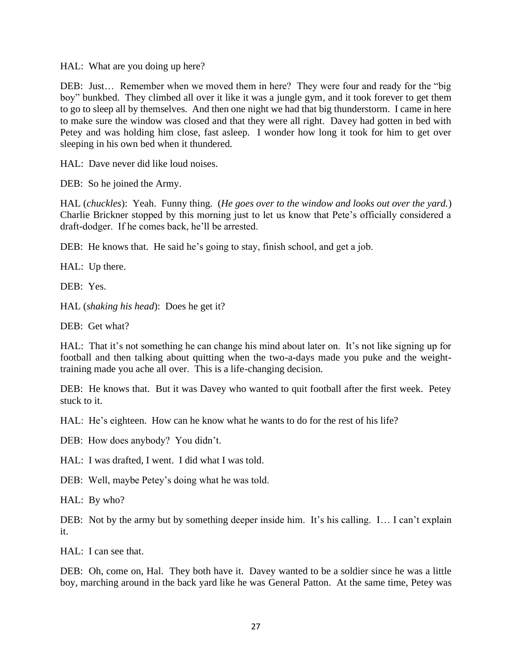HAL: What are you doing up here?

DEB: Just… Remember when we moved them in here? They were four and ready for the "big boy" bunkbed. They climbed all over it like it was a jungle gym, and it took forever to get them to go to sleep all by themselves. And then one night we had that big thunderstorm. I came in here to make sure the window was closed and that they were all right. Davey had gotten in bed with Petey and was holding him close, fast asleep. I wonder how long it took for him to get over sleeping in his own bed when it thundered.

HAL: Dave never did like loud noises.

DEB: So he joined the Army.

HAL (*chuckles*): Yeah. Funny thing. (*He goes over to the window and looks out over the yard.*) Charlie Brickner stopped by this morning just to let us know that Pete's officially considered a draft-dodger. If he comes back, he'll be arrested.

DEB: He knows that. He said he's going to stay, finish school, and get a job.

HAL: Up there.

DEB: Yes.

HAL (*shaking his head*): Does he get it?

DEB: Get what?

HAL: That it's not something he can change his mind about later on. It's not like signing up for football and then talking about quitting when the two-a-days made you puke and the weighttraining made you ache all over. This is a life-changing decision.

DEB: He knows that. But it was Davey who wanted to quit football after the first week. Petey stuck to it.

HAL: He's eighteen. How can he know what he wants to do for the rest of his life?

DEB: How does anybody? You didn't.

HAL: I was drafted, I went. I did what I was told.

DEB: Well, maybe Petey's doing what he was told.

HAL: By who?

DEB: Not by the army but by something deeper inside him. It's his calling. I... I can't explain it.

HAL: I can see that.

DEB: Oh, come on, Hal. They both have it. Davey wanted to be a soldier since he was a little boy, marching around in the back yard like he was General Patton. At the same time, Petey was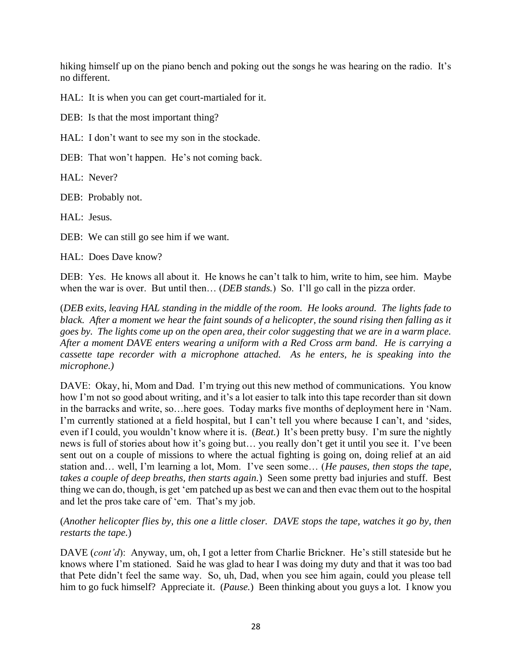hiking himself up on the piano bench and poking out the songs he was hearing on the radio. It's no different.

HAL: It is when you can get court-martialed for it.

DEB: Is that the most important thing?

HAL: I don't want to see my son in the stockade.

DEB: That won't happen. He's not coming back.

HAL: Never?

DEB: Probably not.

HAL: Jesus.

DEB: We can still go see him if we want.

HAL: Does Dave know?

DEB: Yes. He knows all about it. He knows he can't talk to him, write to him, see him. Maybe when the war is over. But until then... (*DEB stands*.) So. I'll go call in the pizza order.

(*DEB exits, leaving HAL standing in the middle of the room. He looks around. The lights fade to black. After a moment we hear the faint sounds of a helicopter, the sound rising then falling as it goes by. The lights come up on the open area, their color suggesting that we are in a warm place. After a moment DAVE enters wearing a uniform with a Red Cross arm band. He is carrying a cassette tape recorder with a microphone attached. As he enters, he is speaking into the microphone.)*

DAVE: Okay, hi, Mom and Dad. I'm trying out this new method of communications. You know how I'm not so good about writing, and it's a lot easier to talk into this tape recorder than sit down in the barracks and write, so…here goes. Today marks five months of deployment here in 'Nam. I'm currently stationed at a field hospital, but I can't tell you where because I can't, and 'sides, even if I could, you wouldn't know where it is. (*Beat.*) It's been pretty busy. I'm sure the nightly news is full of stories about how it's going but… you really don't get it until you see it. I've been sent out on a couple of missions to where the actual fighting is going on, doing relief at an aid station and… well, I'm learning a lot, Mom. I've seen some… (*He pauses, then stops the tape, takes a couple of deep breaths, then starts again.*) Seen some pretty bad injuries and stuff. Best thing we can do, though, is get 'em patched up as best we can and then evac them out to the hospital and let the pros take care of 'em. That's my job.

(*Another helicopter flies by, this one a little closer. DAVE stops the tape, watches it go by, then restarts the tape.*)

DAVE (*cont'd*): Anyway, um, oh, I got a letter from Charlie Brickner. He's still stateside but he knows where I'm stationed. Said he was glad to hear I was doing my duty and that it was too bad that Pete didn't feel the same way. So, uh, Dad, when you see him again, could you please tell him to go fuck himself? Appreciate it. (*Pause.*) Been thinking about you guys a lot. I know you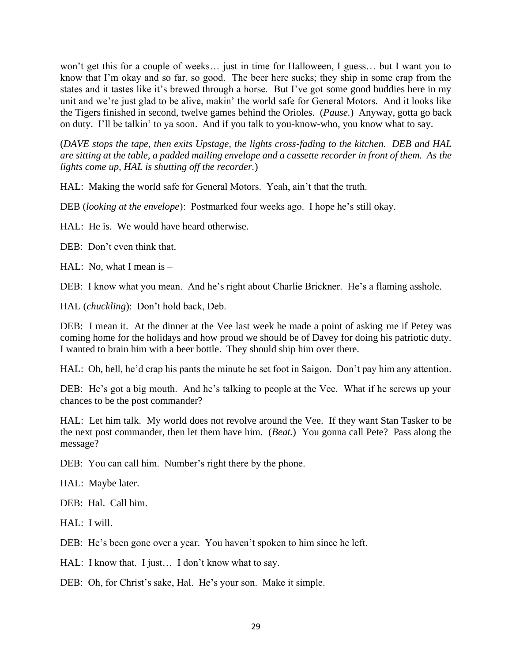won't get this for a couple of weeks… just in time for Halloween, I guess… but I want you to know that I'm okay and so far, so good. The beer here sucks; they ship in some crap from the states and it tastes like it's brewed through a horse. But I've got some good buddies here in my unit and we're just glad to be alive, makin' the world safe for General Motors. And it looks like the Tigers finished in second, twelve games behind the Orioles. (*Pause.*) Anyway, gotta go back on duty. I'll be talkin' to ya soon. And if you talk to you-know-who, you know what to say.

(*DAVE stops the tape, then exits Upstage, the lights cross-fading to the kitchen. DEB and HAL are sitting at the table, a padded mailing envelope and a cassette recorder in front of them. As the lights come up, HAL is shutting off the recorder.*)

HAL: Making the world safe for General Motors. Yeah, ain't that the truth.

DEB (*looking at the envelope*): Postmarked four weeks ago. I hope he's still okay.

HAL: He is. We would have heard otherwise.

DEB: Don't even think that.

HAL: No, what I mean is  $-$ 

DEB: I know what you mean. And he's right about Charlie Brickner. He's a flaming asshole.

HAL (*chuckling*): Don't hold back, Deb.

DEB: I mean it. At the dinner at the Vee last week he made a point of asking me if Petey was coming home for the holidays and how proud we should be of Davey for doing his patriotic duty. I wanted to brain him with a beer bottle. They should ship him over there.

HAL: Oh, hell, he'd crap his pants the minute he set foot in Saigon. Don't pay him any attention.

DEB: He's got a big mouth. And he's talking to people at the Vee. What if he screws up your chances to be the post commander?

HAL: Let him talk. My world does not revolve around the Vee. If they want Stan Tasker to be the next post commander, then let them have him. (*Beat.*) You gonna call Pete? Pass along the message?

DEB: You can call him. Number's right there by the phone.

HAL: Maybe later.

DEB: Hal. Call him.

HAL: I will.

DEB: He's been gone over a year. You haven't spoken to him since he left.

HAL: I know that. I just... I don't know what to say.

DEB: Oh, for Christ's sake, Hal. He's your son. Make it simple.